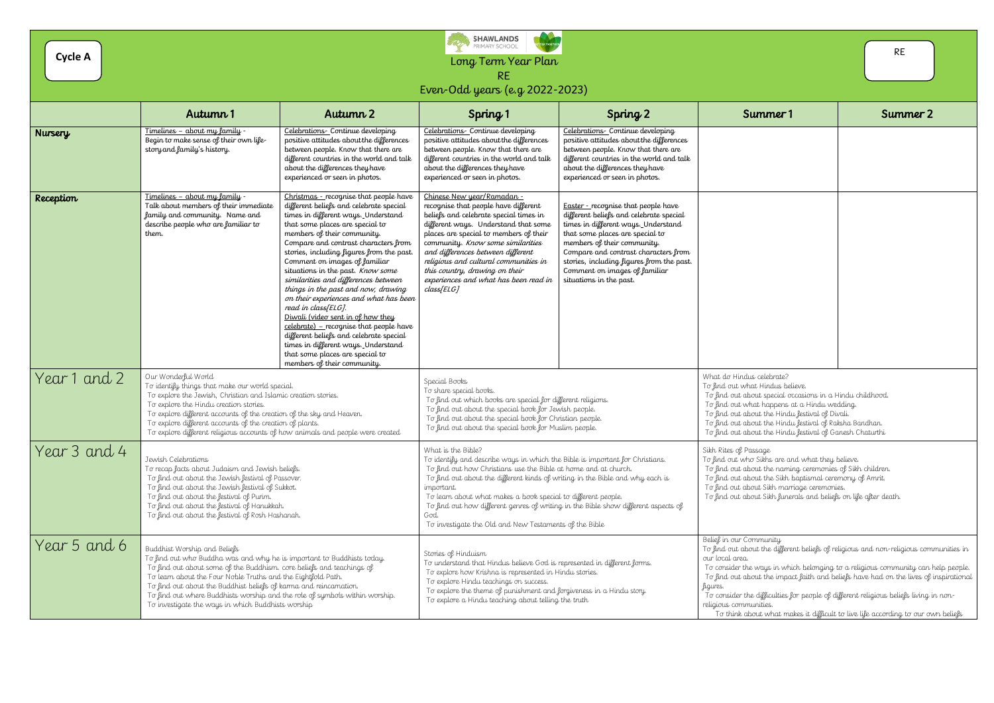Long Term Year Plan RE

Even-Odd years (e.g 2022-2023)

|              | Autumn 1                                                                                                                                                                                                                                                                                                                                                                                                                                                   | Autumn 2                                                                                                                                                                                                                                                                                                                                                                                                                                                                                                                                                                                                                                                                                                                                     | Spring 1                                                                                                                                                                                                                                                                                                                                                                                                                                                                                       | Spring 2                                                                                                                                                                                                                                                                                                                                        | Summer 1                                                                                                                                                                                                                                                                                                                                                                                                                                                                                                                            | Summer 2 |
|--------------|------------------------------------------------------------------------------------------------------------------------------------------------------------------------------------------------------------------------------------------------------------------------------------------------------------------------------------------------------------------------------------------------------------------------------------------------------------|----------------------------------------------------------------------------------------------------------------------------------------------------------------------------------------------------------------------------------------------------------------------------------------------------------------------------------------------------------------------------------------------------------------------------------------------------------------------------------------------------------------------------------------------------------------------------------------------------------------------------------------------------------------------------------------------------------------------------------------------|------------------------------------------------------------------------------------------------------------------------------------------------------------------------------------------------------------------------------------------------------------------------------------------------------------------------------------------------------------------------------------------------------------------------------------------------------------------------------------------------|-------------------------------------------------------------------------------------------------------------------------------------------------------------------------------------------------------------------------------------------------------------------------------------------------------------------------------------------------|-------------------------------------------------------------------------------------------------------------------------------------------------------------------------------------------------------------------------------------------------------------------------------------------------------------------------------------------------------------------------------------------------------------------------------------------------------------------------------------------------------------------------------------|----------|
| Nursery      | Timelines - about my family -<br>Begin to make sense of their own life-<br>story and family's history.                                                                                                                                                                                                                                                                                                                                                     | Celebrations - Continue developing<br>positive attitudes about the differences<br>between people. Know that there are<br>different countries in the world and talk<br>about the differences they have<br>experienced or seen in photos.                                                                                                                                                                                                                                                                                                                                                                                                                                                                                                      | Celebrations-Continue developing<br>positive attitudes about the differences<br>between people. Know that there are<br>different countries in the world and talk<br>about the differences they have<br>experienced or seen in photos.                                                                                                                                                                                                                                                          | Celebrations - Continue developing<br>positive attitudes about the differences<br>between people. Know that there are<br>different countries in the world and talk<br>about the differences they have<br>experienced or seen in photos.                                                                                                         |                                                                                                                                                                                                                                                                                                                                                                                                                                                                                                                                     |          |
| Reception    | <u> Timelines – about my family -</u><br>Talk about members of their immediate<br>family and community. Name and<br>describe people who are familiar to<br>them.                                                                                                                                                                                                                                                                                           | Christmas - recognise that people have<br>different beliefs and celebrate special<br>times in different ways. Understand<br>that some places are special to<br>members of their community.<br>Compare and contrast characters from<br>stories, including figures from the past.<br>Comment on images of familiar<br>situations in the past. Know some<br>similarities and differences between<br>things in the past and now, drawing<br>on their experiences and what has been<br>read in class[ELG].<br>Diwali (video sent in of how they<br>$celebrate) - recognizes that people have$<br>different beliefs and celebrate special<br>times in different ways. Understand<br>that some places are special to<br>members of their community. | Chinese New year/Ramadan -<br>recognise that people have different<br>beliefs and celebrate special times in<br>different ways. Understand that some<br>places are special to members of their<br>community. Know some similarities<br>and differences between different<br>religious and cultural communities in<br>this country, drawing on their<br>experiences and what has been read in<br>class[ELG]                                                                                     | <b>Easter</b> - recognise that people have<br>different beliefs and celebrate special<br>times in different ways. Understand<br>that some places are special to<br>members of their community.<br>Compare and contrast characters from<br>stories, including figures from the past.<br>Comment on images of familiar<br>situations in the past. |                                                                                                                                                                                                                                                                                                                                                                                                                                                                                                                                     |          |
| Year 1 and 2 | Our Wonderful World<br>To identify things that make our world special.<br>To explore the Jewish, Christian and Islamic creation stories.<br>To explore the Hindu creation stories.<br>To explore different accounts of the creation of the sky and Heaven.<br>To explore different accounts of the creation of plants.<br>To explore different religious accounts of how animals and people were created                                                   |                                                                                                                                                                                                                                                                                                                                                                                                                                                                                                                                                                                                                                                                                                                                              | Special Books<br>To share special books.<br>To find out which books are special for different religions.<br>To find out about the special book for Jewish people.<br>To find out about the special book for Christian people.<br>To find out about the special book for Muslim people.                                                                                                                                                                                                         |                                                                                                                                                                                                                                                                                                                                                 | What do Hindus celebrate?<br>To find out what Hindus believe.<br>To find out about special occasions in a Hindu childhood.<br>To find out what happens at a Hindu wedding.<br>To find out about the Hindu festival of Divali.<br>To find out about the Hindu festival of Raksha Bandhan.<br>To find out about the Hindu festival of Ganesh Chaturthi                                                                                                                                                                                |          |
| Year 3 and 4 | Jewish Celebrations<br>To recap facts about Judaism and Jewish beliefs.<br>To find out about the Jewish festival of Passover.<br>To find out about the Jewish festival of Sukkot.<br>To find out about the festival of Purim.<br>To find out about the festival of Hanukkah.<br>To find out about the festival of Rosh Hashanah.                                                                                                                           |                                                                                                                                                                                                                                                                                                                                                                                                                                                                                                                                                                                                                                                                                                                                              | What is the Bible?<br>To identify and describe ways in which the Bible is important for Christians.<br>To find out how Christians use the Bible at home and at church.<br>To find out about the different kinds of writing in the Bible and why each is<br>important.<br>To learn about what makes a book special to different people.<br>To find out how different genres of writing in the Bible show different aspects of<br>God.<br>To investigate the Old and New Testaments of the Bible |                                                                                                                                                                                                                                                                                                                                                 | Sikh Rites of Passage<br>To find out who Sikhs are and what they believe.<br>To find out about the naming ceremonies of Sikh children.<br>To find out about the Sikh baptismal ceremony of Amrit.<br>To find out about Sikh marriage ceremonies.<br>To find out about Sikh funerals and beliefs on life after death.                                                                                                                                                                                                                |          |
| Year 5 and 6 | Buddhist Worship and Beliefs<br>To find out who Buddha was and why he is important to Buddhists today.<br>To find out about some of the Buddhism. core beliefs and teachings of<br>To learn about the Four Noble Truths and the Eightfold Path.<br>To find out about the Buddhist beliefs of karma and reincarnation.<br>To find out where Buddhists worship and the role of symbols within worship.<br>To investigate the ways in which Buddhists worship |                                                                                                                                                                                                                                                                                                                                                                                                                                                                                                                                                                                                                                                                                                                                              | Stories of Hinduism<br>To understand that Hindus believe God is represented in different forms.<br>To explore how Krishna is represented in Hindu stories.<br>To explore Hindu teachings on success.<br>To explore the theme of punishment and forgiveness in a Hindu story.<br>To explore a Hindu teaching about telling the truth                                                                                                                                                            |                                                                                                                                                                                                                                                                                                                                                 | Belief in our Community<br>To find out about the different beliefs of religious and non-religious communities in<br>our local area.<br>To consider the ways in which belonging to a religious community can help people.<br>To find out about the impact faith and beliefs have had on the lives of inspirationa<br>figures.<br>To consider the difficulties for people of different religious beliefs living in non-<br>religious communities.<br>To think about what makes it difficult to live life according to our own beliefs |          |

|                                                                                                                                                                                                                                                                                                                                                      | <b>RE</b> |
|------------------------------------------------------------------------------------------------------------------------------------------------------------------------------------------------------------------------------------------------------------------------------------------------------------------------------------------------------|-----------|
| Summer 1                                                                                                                                                                                                                                                                                                                                             | Summer 2  |
|                                                                                                                                                                                                                                                                                                                                                      |           |
|                                                                                                                                                                                                                                                                                                                                                      |           |
|                                                                                                                                                                                                                                                                                                                                                      |           |
|                                                                                                                                                                                                                                                                                                                                                      |           |
| What do Hindus celebrate?<br>To find out what Hindus believe.<br>To find out about special occasions in a Hindu childhood.<br>To find out what happens at a Hindu wedding.<br>To find out about the Hindu festival of Divali.<br>To find out about the Hindu festival of Raksha Bandhan.<br>To find out about the Hindu festival of Ganesh Chaturthi |           |
| Sikh Rites of Passage<br>To find out who Sikhs are and what they believe.<br>To find out about the naming ceremonies of Sikh children.<br>To find out about the Sikh baptismal ceremony of Amrit.<br>To find out about Sikh marriage ceremonies.<br>To find out about Sikh funerals and beliefs on life after death.                                 |           |
| Belief in our Community<br>To find out about the different beliefs of religious and non-religious communities in<br>our local area.<br>To consider the ways in which belonging to a religious community can help people.                                                                                                                             |           |

To think about what makes it difficult to live life according to our own beliefs

**Cycle A**